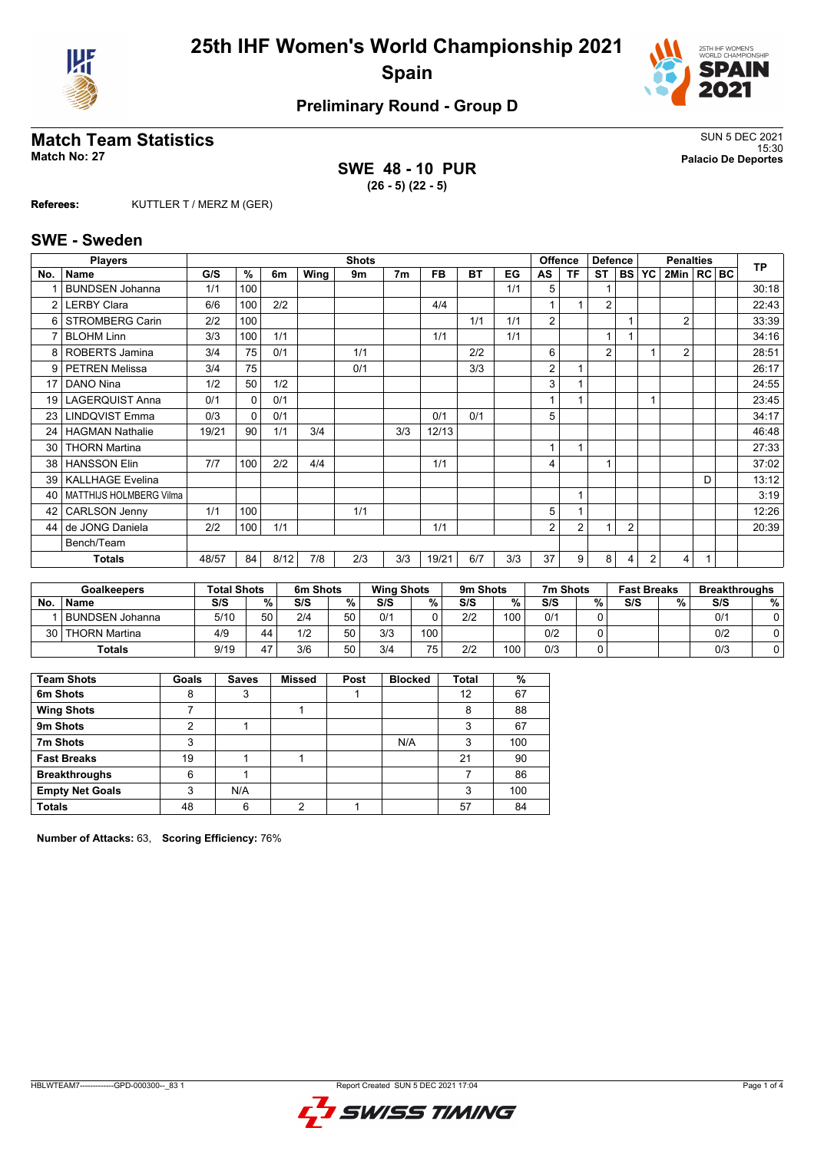



# **Preliminary Round - Group D**

# **Match Team Statistics** SUN 5 DEC 2021

**SWE 48 - 10 PUR (26 - 5) (22 - 5)**

15:30 **Match No: 27 Palacio De Deportes**

**Referees:** KUTTLER T / MERZ M (GER)

#### **SWE - Sweden**

|                 | <b>Players</b>                 |       |              |      |      | <b>Shots</b> |                |       |     |     |    | <b>Offence</b> | <b>Defence</b> |                |                | <b>Penalties</b> |   | <b>TP</b> |
|-----------------|--------------------------------|-------|--------------|------|------|--------------|----------------|-------|-----|-----|----|----------------|----------------|----------------|----------------|------------------|---|-----------|
| No.             | <b>Name</b>                    | G/S   | $\%$         | 6m   | Wing | 9m           | 7 <sub>m</sub> | FB.   | ВT  | EG  | AS | ΤF             | ST             | <b>BS</b>      | YC             | 2Min   RC   BC   |   |           |
|                 | <b>BUNDSEN Johanna</b>         | 1/1   | 100          |      |      |              |                |       |     | 1/1 | 5  |                |                |                |                |                  |   | 30:18     |
| $\mathcal{P}$   | <b>LERBY Clara</b>             | 6/6   | 100          | 2/2  |      |              |                | 4/4   |     |     |    |                | $\overline{2}$ |                |                |                  |   | 22:43     |
| 6               | <b>STROMBERG Carin</b>         | 2/2   | 100          |      |      |              |                |       | 1/1 | 1/1 | 2  |                |                |                |                | $\overline{2}$   |   | 33:39     |
|                 | <b>BLOHM Linn</b>              | 3/3   | 100          | 1/1  |      |              |                | 1/1   |     | 1/1 |    |                | 1              |                |                |                  |   | 34:16     |
|                 | 8   ROBERTS Jamina             | 3/4   | 75           | 0/1  |      | 1/1          |                |       | 2/2 |     | 6  |                | $\overline{2}$ |                |                | $\overline{2}$   |   | 28:51     |
|                 | 9   PETREN Melissa             | 3/4   | 75           |      |      | 0/1          |                |       | 3/3 |     | 2  |                |                |                |                |                  |   | 26:17     |
| 17              | DANO Nina                      | 1/2   | 50           | 1/2  |      |              |                |       |     |     | 3  |                |                |                |                |                  |   | 24:55     |
| 19 <sup>1</sup> | <b>LAGERQUIST Anna</b>         | 0/1   | $\Omega$     | 0/1  |      |              |                |       |     |     |    |                |                |                | 1              |                  |   | 23:45     |
| 23              | <b>LINDQVIST Emma</b>          | 0/3   | $\mathbf{0}$ | 0/1  |      |              |                | 0/1   | 0/1 |     | 5  |                |                |                |                |                  |   | 34:17     |
| 24              | <b>HAGMAN Nathalie</b>         | 19/21 | 90           | 1/1  | 3/4  |              | 3/3            | 12/13 |     |     |    |                |                |                |                |                  |   | 46:48     |
| 30              | <b>THORN Martina</b>           |       |              |      |      |              |                |       |     |     | 1  |                |                |                |                |                  |   | 27:33     |
| 38 <sup>1</sup> | <b>HANSSON Elin</b>            | 7/7   | 100          | 2/2  | 4/4  |              |                | 1/1   |     |     | 4  |                | $\overline{1}$ |                |                |                  |   | 37:02     |
| 39 <sup>°</sup> | <b>KALLHAGE Evelina</b>        |       |              |      |      |              |                |       |     |     |    |                |                |                |                |                  | D | 13:12     |
| 40              | <b>MATTHIJS HOLMBERG Vilma</b> |       |              |      |      |              |                |       |     |     |    |                |                |                |                |                  |   | 3:19      |
| 42              | <b>CARLSON Jenny</b>           | 1/1   | 100          |      |      | 1/1          |                |       |     |     | 5  |                |                |                |                |                  |   | 12:26     |
| 44              | de JONG Daniela                | 2/2   | 100          | 1/1  |      |              |                | 1/1   |     |     | 2  | $\overline{2}$ | 1              | $\overline{2}$ |                |                  |   | 20:39     |
|                 | Bench/Team                     |       |              |      |      |              |                |       |     |     |    |                |                |                |                |                  |   |           |
|                 | <b>Totals</b>                  | 48/57 | 84           | 8/12 | 7/8  | 2/3          | 3/3            | 19/21 | 6/7 | 3/3 | 37 | 9              | 8              | 4              | $\overline{2}$ | 4                | 1 |           |

|      | <b>Goalkeepers</b>   | <b>Total Shots</b> |        | 6m Shots |    | <b>Wing Shots</b> |     | 9m Shots |     | 7m Shots |   | <b>Fast Breaks</b> |   | <b>Breakthroughs</b> |   |
|------|----------------------|--------------------|--------|----------|----|-------------------|-----|----------|-----|----------|---|--------------------|---|----------------------|---|
| No.  | <b>Name</b>          | S/S                | $\%$ . | S/S      | %  | S/S               | %   | S/S      | %   | S/S      | % | S/S                | % | S/S                  | % |
|      | l BUNDSEN Johanna    | 5/10               | 50     | 2/4      | 50 | 0/1               |     | 2/2      | 100 | 0/1      |   |                    |   | 0/1                  |   |
| 30 I | <b>THORN Martina</b> | 4/9                | 44     | 1/2      | 50 | 3/3               | 100 |          |     | 0/2      |   |                    |   | 0/2                  |   |
|      | Totals               | 9/19               | 17     | 3/6      | 50 | 3/4               | 75  | 2/2      | 100 | 0/3      |   |                    |   | 0/3                  |   |

| <b>Team Shots</b>      | Goals | <b>Saves</b> | <b>Missed</b> | Post | <b>Blocked</b> | Total | %   |
|------------------------|-------|--------------|---------------|------|----------------|-------|-----|
| 6m Shots               | 8     | 3            |               |      |                | 12    | 67  |
| <b>Wing Shots</b>      |       |              |               |      |                | 8     | 88  |
| 9m Shots               | ◠     |              |               |      |                | 3     | 67  |
| 7m Shots               | 3     |              |               |      | N/A            | 3     | 100 |
| <b>Fast Breaks</b>     | 19    |              |               |      |                | 21    | 90  |
| <b>Breakthroughs</b>   | 6     |              |               |      |                |       | 86  |
| <b>Empty Net Goals</b> | 3     | N/A          |               |      |                | 3     | 100 |
| <b>Totals</b>          | 48    | 6            | っ             |      |                | 57    | 84  |

**Number of Attacks:** 63, **Scoring Efficiency:** 76%

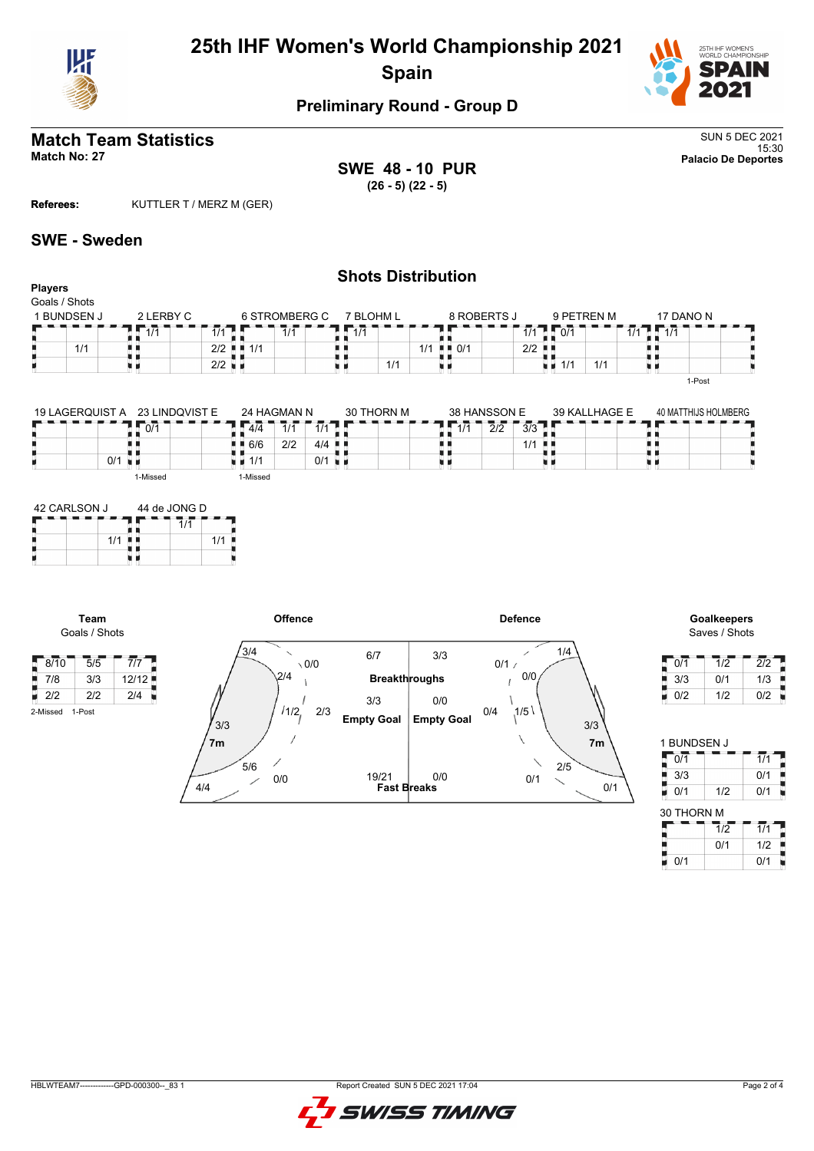



# **Preliminary Round - Group D**

# **Match Team Statistics** SUN 5 DEC 2021

**Players** Goals / Shots

15:30 **Match No: 27 Palacio De Deportes SWE 48 - 10 PUR (26 - 5) (22 - 5)**

**Referees:** KUTTLER T / MERZ M (GER)

#### **SWE - Sweden**

## **Shots Distribution**

| GUAIS / SHUIS |           |                             |           |                  |                      |            |  |
|---------------|-----------|-----------------------------|-----------|------------------|----------------------|------------|--|
| I BUNDSEN J   | 2 LERBY C | 6 STROMBERG C               | 7 BLOHM L | 8 ROBERTS J      | 9 PETREN M           | 17 DANO N  |  |
|               | 111       | 1/1<br>1/1                  |           |                  | 0/1<br>1/1           | 414<br>1/1 |  |
| 1/1           |           | $2/2$ $\blacksquare$<br>1/1 |           | . ∎ ∎ ∩/1<br>1/1 | $2/2$ $\blacksquare$ |            |  |
|               |           | $2/2$ $\blacksquare$        | 1/1       |                  | 1/1<br>1/1<br>ни     |            |  |
|               |           |                             |           |                  |                      | 1-Post     |  |

| 19 LAGERQUIST A | 23 LINDQVIST E |            | 24 HAGMAN N                 |         | 30 THORN M |                 | 38 HANSSON E                                    | 39 KALLHAGE E | 40 MATTHIJS HOLMBERG |
|-----------------|----------------|------------|-----------------------------|---------|------------|-----------------|-------------------------------------------------|---------------|----------------------|
|                 | 0/1            | 4/4        | $\overline{1}/\overline{1}$ | 1/1     |            | $\overline{4H}$ | $\overline{3}/3$<br>$\overline{2}/\overline{2}$ |               |                      |
|                 |                | 6/6<br>. . | 2/2                         | $4/4$ . |            |                 | 1/1                                             | -8.8          |                      |
| 0/1<br>۰        |                | 1/1        |                             | 0/1     |            |                 |                                                 |               |                      |
|                 | 1-Missed       | 1-Missed   |                             |         |            |                 |                                                 |               |                      |

| 42 CARLSON J |     | 44 de JONG D |  |     |  |  |  |  |  |
|--------------|-----|--------------|--|-----|--|--|--|--|--|
|              |     |              |  |     |  |  |  |  |  |
|              | 1/1 |              |  | 1/1 |  |  |  |  |  |
|              |     |              |  |     |  |  |  |  |  |

**Team** Goals / Shots

2-Missed 1-Post

E





| 0/1 | 1/2 | 2/2 |
|-----|-----|-----|
| 3/3 | 0/1 | 1/3 |
| 0/2 | 1/2 | 0/2 |

| 1 BUNDSEN J |     |               |
|-------------|-----|---------------|
| 0/1         |     |               |
| 3/3         |     | 0/1           |
| 0/1         | 1/2 | 1<br>$\Omega$ |

| 30 THORN M |     |     |
|------------|-----|-----|
|            | 1/2 | 1/1 |
|            | 0/1 | 1/2 |
| 0/1        |     | 0/1 |

HBLWTEAM7-------------GPD-000300--\_83 1 Report Created SUN 5 DEC 2021 17:04

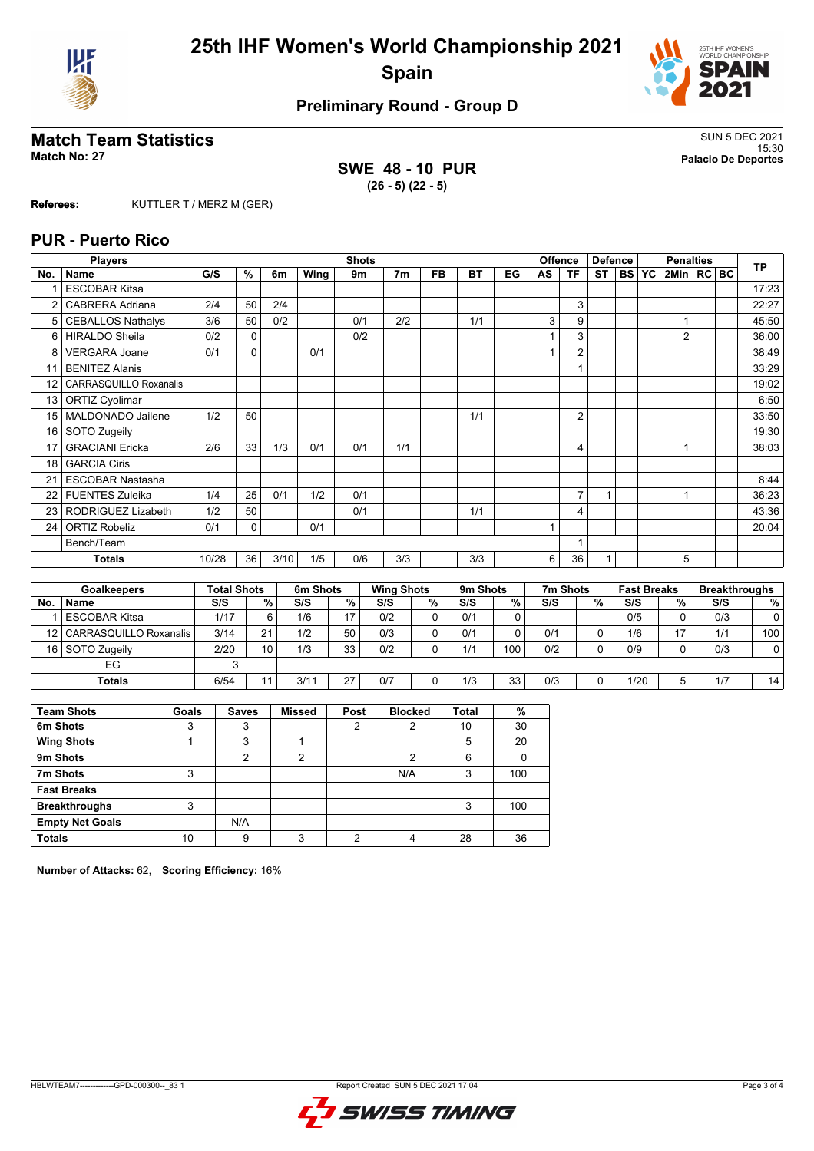



# **Preliminary Round - Group D**

# **Match Team Statistics** SUN 5 DEC 2021

**SWE 48 - 10 PUR (26 - 5) (22 - 5)**

15:30 **Match No: 27 Palacio De Deportes**

**Referees:** KUTTLER T / MERZ M (GER)

#### **PUR - Puerto Rico**

|     | <b>Players</b>                |                    |               |      |          | <b>Shots</b> |     |                   |           |          |    |     | <b>Offence</b> | <b>Defence</b> |           | <b>Penalties</b>   |                | <b>TP</b> |                      |
|-----|-------------------------------|--------------------|---------------|------|----------|--------------|-----|-------------------|-----------|----------|----|-----|----------------|----------------|-----------|--------------------|----------------|-----------|----------------------|
| No. | <b>Name</b>                   | G/S                | $\frac{9}{6}$ | 6m   | Wing     | 9m           |     | 7 <sub>m</sub>    | <b>FB</b> | BT       | EG | AS  | <b>TF</b>      | <b>ST</b>      | <b>BS</b> | YC                 | 2Min   RC   BC |           |                      |
|     | <b>ESCOBAR Kitsa</b>          |                    |               |      |          |              |     |                   |           |          |    |     |                |                |           |                    |                |           | 17:23                |
|     | <b>CABRERA Adriana</b>        | 2/4                | 50            | 2/4  |          |              |     |                   |           |          |    |     | 3              |                |           |                    |                |           | 22:27                |
| 5   | <b>CEBALLOS Nathalys</b>      | 3/6                | 50            | 0/2  |          | 0/1          |     | 2/2               |           | 1/1      |    | 3   | 9              |                |           |                    |                |           | 45:50                |
| 6   | <b>HIRALDO Sheila</b>         | 0/2                | $\Omega$      |      |          | 0/2          |     |                   |           |          |    |     | 3              |                |           |                    | $\overline{2}$ |           | 36:00                |
| 8   | <b>VERGARA Joane</b>          | 0/1                | $\Omega$      |      | 0/1      |              |     |                   |           |          |    |     | $\overline{2}$ |                |           |                    |                |           | 38:49                |
| 11  | <b>BENITEZ Alanis</b>         |                    |               |      |          |              |     |                   |           |          |    |     |                |                |           |                    |                |           | 33:29                |
| 12  | <b>CARRASQUILLO Roxanalis</b> |                    |               |      |          |              |     |                   |           |          |    |     |                |                |           |                    |                |           | 19:02                |
| 13  | <b>ORTIZ Cyolimar</b>         |                    |               |      |          |              |     |                   |           |          |    |     |                |                |           |                    |                |           | 6:50                 |
| 15  | MALDONADO Jailene             | 1/2                | 50            |      |          |              |     |                   |           | 1/1      |    |     | $\overline{2}$ |                |           |                    |                |           | 33:50                |
| 16  | SOTO Zugeily                  |                    |               |      |          |              |     |                   |           |          |    |     |                |                |           |                    |                |           | 19:30                |
| 17  | <b>GRACIANI Ericka</b>        | 2/6                | 33            | 1/3  | 0/1      | 0/1          |     | 1/1               |           |          |    |     | 4              |                |           |                    |                |           | 38:03                |
| 18  | <b>GARCIA Ciris</b>           |                    |               |      |          |              |     |                   |           |          |    |     |                |                |           |                    |                |           |                      |
| 21  | <b>ESCOBAR Nastasha</b>       |                    |               |      |          |              |     |                   |           |          |    |     |                |                |           |                    |                |           | 8:44                 |
| 22  | <b>FUENTES Zuleika</b>        | 1/4                | 25            | 0/1  | 1/2      | 0/1          |     |                   |           |          |    |     | $\overline{7}$ | 1              |           |                    |                |           | 36:23                |
| 23  | RODRIGUEZ Lizabeth            | 1/2                | 50            |      |          | 0/1          |     |                   |           | 1/1      |    |     | 4              |                |           |                    |                |           | 43:36                |
| 24  | <b>ORTIZ Robeliz</b>          | 0/1                | 0             |      | 0/1      |              |     |                   |           |          |    |     |                |                |           |                    |                |           | 20:04                |
|     | Bench/Team                    |                    |               |      |          |              |     |                   |           |          |    |     |                |                |           |                    |                |           |                      |
|     | <b>Totals</b>                 | 10/28              | 36            | 3/10 | 1/5      | 0/6          |     | 3/3               |           | 3/3      |    | 6   | 36             | 1              |           |                    | 5              |           |                      |
|     |                               |                    |               |      |          |              |     |                   |           |          |    |     |                |                |           |                    |                |           |                      |
|     | <b>Goalkeepers</b>            | <b>Total Shots</b> |               |      | 6m Shots |              |     | <b>Wing Shots</b> |           | 9m Shots |    |     | 7m Shots       |                |           | <b>Fast Breaks</b> |                |           | <b>Breakthroughs</b> |
| No. | Name                          | S/S                |               | $\%$ | S/S      | $\%$         | S/S |                   | %         | S/S      | %  | S/S |                | $\frac{9}{6}$  | S/S       |                    | %              | S/S       | %                    |

|     | ------------                | .    |    | ---------- |     | .   |   | - - - - - - - - - |     | .   |   | .    |    |     |                |
|-----|-----------------------------|------|----|------------|-----|-----|---|-------------------|-----|-----|---|------|----|-----|----------------|
| No. | <b>Name</b>                 | S/S  | %  | S/S        | % । | S/S | % | S/S               | %   | S/S | % | S/S  | %. | S/S | %              |
|     | l ESCOBAR Kitsa             | 1/17 |    | 1/6        |     | 0/2 |   | 0/1               |     |     |   | 0/5  |    | 0/3 | $\overline{0}$ |
|     | 12   CARRASQUILLO Roxanalis | 3/14 | 21 | 1/2        | 50  | 0/3 |   | 0/1               |     | 0/1 | 0 | 1/6  | 17 | 1/1 | 100            |
|     | 16 SOTO Zugeily             | 2/20 | 10 | 1/3        | 33  | 0/2 |   | 1/1               | 100 | 0/2 | 0 | 0/9  |    | 0/3 | $\overline{0}$ |
|     | EG                          |      |    |            |     |     |   |                   |     |     |   |      |    |     |                |
|     | <b>Totals</b>               | 6/54 | 44 | 3/11       | 27  | 0/7 |   | 1/3               | 33  | 0/3 | 0 | 1/20 |    | 1/7 | 14             |
|     |                             |      |    |            |     |     |   |                   |     |     |   |      |    |     |                |

| <b>Team Shots</b>      | Goals | <b>Saves</b> | <b>Missed</b> | Post | <b>Blocked</b> | <b>Total</b> | %   |
|------------------------|-------|--------------|---------------|------|----------------|--------------|-----|
| 6m Shots               | 3     | 3            |               | 2    | 2              | 10           | 30  |
| <b>Wing Shots</b>      |       | 3            |               |      |                | 5            | 20  |
| 9m Shots               |       | າ            | 2             |      | ◠              | 6            |     |
| 7m Shots               | 3     |              |               |      | N/A            | 3            | 100 |
| <b>Fast Breaks</b>     |       |              |               |      |                |              |     |
| <b>Breakthroughs</b>   | 3     |              |               |      |                | 3            | 100 |
| <b>Empty Net Goals</b> |       | N/A          |               |      |                |              |     |
| <b>Totals</b>          | 10    | 9            | ົ             | ◠    |                | 28           | 36  |

**Number of Attacks:** 62, **Scoring Efficiency:** 16%